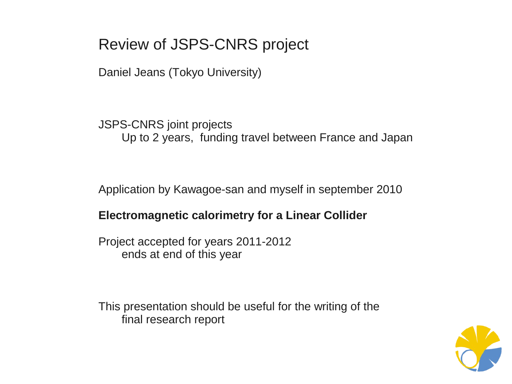# Review of JSPS-CNRS project

Daniel Jeans (Tokyo University)

JSPS-CNRS joint projects Up to 2 years, funding travel between France and Japan

Application by Kawagoe-san and myself in september 2010

### **Electromagnetic calorimetry for a Linear Collider**

Project accepted for years 2011-2012 ends at end of this year

This presentation should be useful for the writing of the final research report

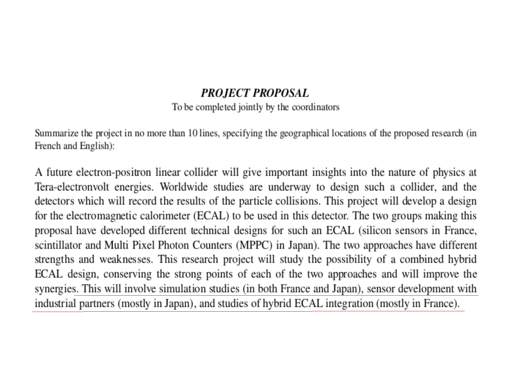### **PROJECT PROPOSAL**

#### To be completed jointly by the coordinators

Summarize the project in no more than 10 lines, specifying the geographical locations of the proposed research (in French and English):

A future electron-positron linear collider will give important insights into the nature of physics at Tera-electronvolt energies. Worldwide studies are underway to design such a collider, and the detectors which will record the results of the particle collisions. This project will develop a design for the electromagnetic calorimeter (ECAL) to be used in this detector. The two groups making this proposal have developed different technical designs for such an ECAL (silicon sensors in France, scintillator and Multi Pixel Photon Counters (MPPC) in Japan). The two approaches have different strengths and weaknesses. This research project will study the possibility of a combined hybrid ECAL design, conserving the strong points of each of the two approaches and will improve the synergies. This will involve simulation studies (in both France and Japan), sensor development with industrial partners (mostly in Japan), and studies of hybrid ECAL integration (mostly in France).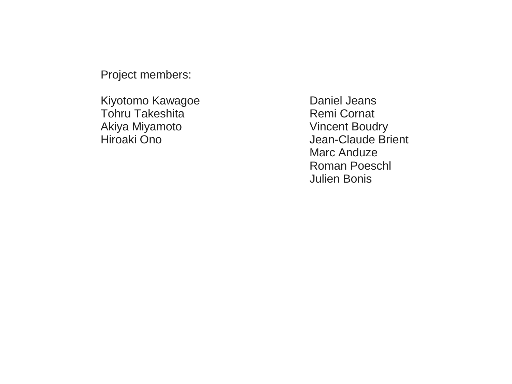Project members:

Kiyotomo Kawagoe **Daniel Jeans** Tohru Takeshita **Remi** Cornat Akiya Miyamoto **Vincent Boudry** 

Hiroaki Ono Jean-Claude Brient Marc Anduze Roman Poeschl Julien Bonis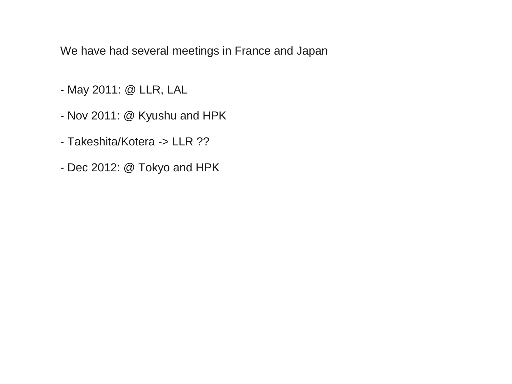We have had several meetings in France and Japan

- May 2011: @ LLR, LAL
- Nov 2011: @ Kyushu and HPK
- Takeshita/Kotera -> LLR ??
- Dec 2012: @ Tokyo and HPK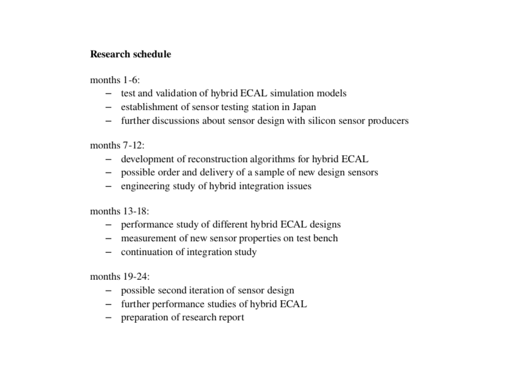#### Research schedule

months  $1-6$ :

- test and validation of hybrid ECAL simulation models
- establishment of sensor testing station in Japan
- further discussions about sensor design with silicon sensor producers

months  $7-12$ :

- development of reconstruction algorithms for hybrid ECAL
- possible order and delivery of a sample of new design sensors
- engineering study of hybrid integration issues

months  $13-18$ :

- performance study of different hybrid ECAL designs
- measurement of new sensor properties on test bench
- continuation of integration study

months  $19-24$ :

- possible second iteration of sensor design
- further performance studies of hybrid ECAL
- preparation of research report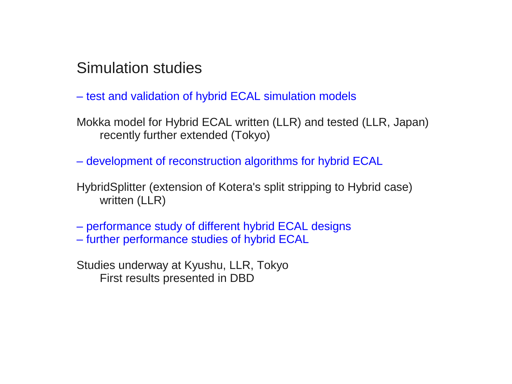## Simulation studies

- test and validation of hybrid ECAL simulation models
- Mokka model for Hybrid ECAL written (LLR) and tested (LLR, Japan) recently further extended (Tokyo)
- development of reconstruction algorithms for hybrid ECAL
- HybridSplitter (extension of Kotera's split stripping to Hybrid case) written (LLR)
- performance study of different hybrid ECAL designs – further performance studies of hybrid ECAL
- Studies underway at Kyushu, LLR, Tokyo First results presented in DBD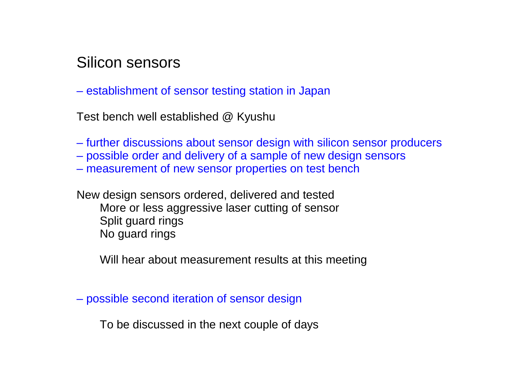### Silicon sensors

– establishment of sensor testing station in Japan

Test bench well established @ Kyushu

- further discussions about sensor design with silicon sensor producers
- possible order and delivery of a sample of new design sensors
- measurement of new sensor properties on test bench

New design sensors ordered, delivered and tested More or less aggressive laser cutting of sensor Split guard rings No guard rings

Will hear about measurement results at this meeting

– possible second iteration of sensor design

To be discussed in the next couple of days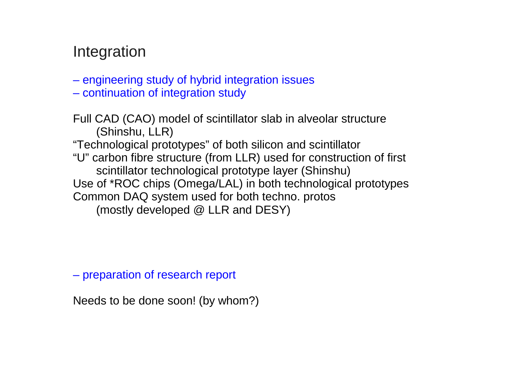## Integration

- engineering study of hybrid integration issues
- continuation of integration study

Full CAD (CAO) model of scintillator slab in alveolar structure (Shinshu, LLR) "Technological prototypes" of both silicon and scintillator "U" carbon fibre structure (from LLR) used for construction of first scintillator technological prototype layer (Shinshu) Use of \*ROC chips (Omega/LAL) in both technological prototypes Common DAQ system used for both techno. protos (mostly developed @ LLR and DESY)

– preparation of research report

Needs to be done soon! (by whom?)